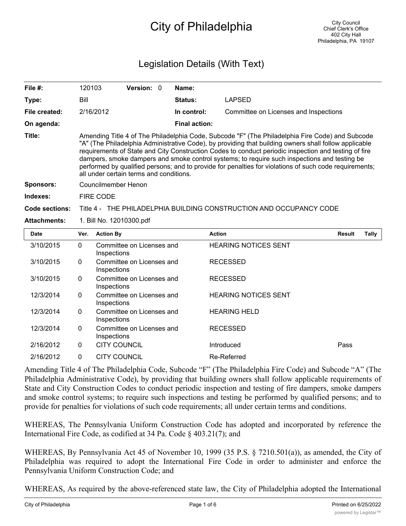# City of Philadelphia

## Legislation Details (With Text)

| File $#$ :          | 120103                                                                                                                                                                                                                                                                                                                                                                                                                                                                                                                                                                | <b>Version: 0</b> |  | Name:                |                                       |               |       |
|---------------------|-----------------------------------------------------------------------------------------------------------------------------------------------------------------------------------------------------------------------------------------------------------------------------------------------------------------------------------------------------------------------------------------------------------------------------------------------------------------------------------------------------------------------------------------------------------------------|-------------------|--|----------------------|---------------------------------------|---------------|-------|
| Type:               | Bill                                                                                                                                                                                                                                                                                                                                                                                                                                                                                                                                                                  |                   |  | <b>Status:</b>       | LAPSED                                |               |       |
| File created:       | 2/16/2012                                                                                                                                                                                                                                                                                                                                                                                                                                                                                                                                                             |                   |  | In control:          | Committee on Licenses and Inspections |               |       |
| On agenda:          |                                                                                                                                                                                                                                                                                                                                                                                                                                                                                                                                                                       |                   |  | <b>Final action:</b> |                                       |               |       |
| Title:              | Amending Title 4 of The Philadelphia Code, Subcode "F" (The Philadelphia Fire Code) and Subcode<br>"A" (The Philadelphia Administrative Code), by providing that building owners shall follow applicable<br>requirements of State and City Construction Codes to conduct periodic inspection and testing of fire<br>dampers, smoke dampers and smoke control systems; to require such inspections and testing be<br>performed by qualified persons; and to provide for penalties for violations of such code requirements;<br>all under certain terms and conditions. |                   |  |                      |                                       |               |       |
| <b>Sponsors:</b>    | Councilmember Henon                                                                                                                                                                                                                                                                                                                                                                                                                                                                                                                                                   |                   |  |                      |                                       |               |       |
| Indexes:            | FIRE CODE                                                                                                                                                                                                                                                                                                                                                                                                                                                                                                                                                             |                   |  |                      |                                       |               |       |
| Code sections:      | Title 4 - THE PHILADELPHIA BUILDING CONSTRUCTION AND OCCUPANCY CODE                                                                                                                                                                                                                                                                                                                                                                                                                                                                                                   |                   |  |                      |                                       |               |       |
| <b>Attachments:</b> | 1. Bill No. 12010300.pdf                                                                                                                                                                                                                                                                                                                                                                                                                                                                                                                                              |                   |  |                      |                                       |               |       |
| <b>Date</b>         | Ver. Action By                                                                                                                                                                                                                                                                                                                                                                                                                                                                                                                                                        |                   |  | <b>Action</b>        |                                       | <b>Result</b> | Tally |

| Ver.         | <b>Action By</b>                         | <b>Action</b>               | <b>Result</b> | Tally |
|--------------|------------------------------------------|-----------------------------|---------------|-------|
| $\mathbf{0}$ | Committee on Licenses and<br>Inspections | <b>HEARING NOTICES SENT</b> |               |       |
| $\mathbf{0}$ | Committee on Licenses and<br>Inspections | <b>RECESSED</b>             |               |       |
| 0            | Committee on Licenses and<br>Inspections | <b>RECESSED</b>             |               |       |
| $\mathbf{0}$ | Committee on Licenses and<br>Inspections | <b>HEARING NOTICES SENT</b> |               |       |
| $\mathbf{0}$ | Committee on Licenses and<br>Inspections | <b>HEARING HELD</b>         |               |       |
| $\mathbf{0}$ | Committee on Licenses and<br>Inspections | <b>RECESSED</b>             |               |       |
| 0            | <b>CITY COUNCIL</b>                      | Introduced                  | Pass          |       |
| $\Omega$     | <b>CITY COUNCIL</b>                      | Re-Referred                 |               |       |
|              |                                          |                             |               |       |

Amending Title 4 of The Philadelphia Code, Subcode "F" (The Philadelphia Fire Code) and Subcode "A" (The Philadelphia Administrative Code), by providing that building owners shall follow applicable requirements of State and City Construction Codes to conduct periodic inspection and testing of fire dampers, smoke dampers and smoke control systems; to require such inspections and testing be performed by qualified persons; and to provide for penalties for violations of such code requirements; all under certain terms and conditions.

WHEREAS, The Pennsylvania Uniform Construction Code has adopted and incorporated by reference the International Fire Code, as codified at 34 Pa. Code § 403.21(7); and

WHEREAS, By Pennsylvania Act 45 of November 10, 1999 (35 P.S. § 7210.501(a)), as amended, the City of Philadelphia was required to adopt the International Fire Code in order to administer and enforce the Pennsylvania Uniform Construction Code; and

WHEREAS, As required by the above-referenced state law, the City of Philadelphia adopted the International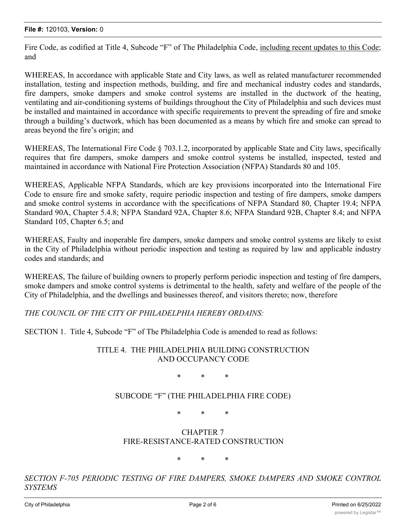Fire Code, as codified at Title 4, Subcode "F" of The Philadelphia Code, including recent updates to this Code; and

WHEREAS, In accordance with applicable State and City laws, as well as related manufacturer recommended installation, testing and inspection methods, building, and fire and mechanical industry codes and standards, fire dampers, smoke dampers and smoke control systems are installed in the ductwork of the heating, ventilating and air-conditioning systems of buildings throughout the City of Philadelphia and such devices must be installed and maintained in accordance with specific requirements to prevent the spreading of fire and smoke through a building's ductwork, which has been documented as a means by which fire and smoke can spread to areas beyond the fire's origin; and

WHEREAS, The International Fire Code  $\S$  703.1.2, incorporated by applicable State and City laws, specifically requires that fire dampers, smoke dampers and smoke control systems be installed, inspected, tested and maintained in accordance with National Fire Protection Association (NFPA) Standards 80 and 105.

WHEREAS, Applicable NFPA Standards, which are key provisions incorporated into the International Fire Code to ensure fire and smoke safety, require periodic inspection and testing of fire dampers, smoke dampers and smoke control systems in accordance with the specifications of NFPA Standard 80, Chapter 19.4; NFPA Standard 90A, Chapter 5.4.8; NFPA Standard 92A, Chapter 8.6; NFPA Standard 92B, Chapter 8.4; and NFPA Standard 105, Chapter 6.5; and

WHEREAS, Faulty and inoperable fire dampers, smoke dampers and smoke control systems are likely to exist in the City of Philadelphia without periodic inspection and testing as required by law and applicable industry codes and standards; and

WHEREAS, The failure of building owners to properly perform periodic inspection and testing of fire dampers, smoke dampers and smoke control systems is detrimental to the health, safety and welfare of the people of the City of Philadelphia, and the dwellings and businesses thereof, and visitors thereto; now, therefore

*THE COUNCIL OF THE CITY OF PHILADELPHIA HEREBY ORDAINS:*

SECTION 1. Title 4, Subcode "F" of The Philadelphia Code is amended to read as follows:

#### TITLE 4. THE PHILADELPHIA BUILDING CONSTRUCTION AND OCCUPANCY CODE

\* \* \*

SUBCODE "F" (THE PHILADELPHIA FIRE CODE)

\* \* \*

#### CHAPTER 7 FIRE-RESISTANCE-RATED CONSTRUCTION

\* \* \*

*SECTION F-705 PERIODIC TESTING OF FIRE DAMPERS, SMOKE DAMPERS AND SMOKE CONTROL SYSTEMS*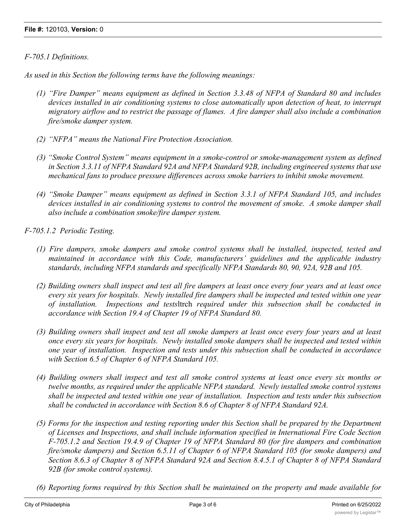#### *F-705.1 Definitions.*

*As used in this Section the following terms have the following meanings:*

- *(1) "Fire Damper" means equipment as defined in Section 3.3.48 of NFPA of Standard 80 and includes devices installed in air conditioning systems to close automatically upon detection of heat, to interrupt migratory airflow and to restrict the passage of flames. A fire damper shall also include a combination fire/smoke damper system.*
- *(2) "NFPA" means the National Fire Protection Association.*
- *(3) "Smoke Control System" means equipment in a smoke-control or smoke-management system as defined in Section 3.3.11 of NFPA Standard 92A and NFPA Standard 92B, including engineered systems that use mechanical fans to produce pressure differences across smoke barriers to inhibit smoke movement.*
- *(4) "Smoke Damper" means equipment as defined in Section 3.3.1 of NFPA Standard 105, and includes devices installed in air conditioning systems to control the movement of smoke. A smoke damper shall also include a combination smoke/fire damper system.*

*F-705.1.2 Periodic Testing.*

- *(1) Fire dampers, smoke dampers and smoke control systems shall be installed, inspected, tested and maintained in accordance with this Code, manufacturers' guidelines and the applicable industry standards, including NFPA standards and specifically NFPA Standards 80, 90, 92A, 92B and 105.*
- (2) Building owners shall inspect and test all fire dampers at least once every four years and at least once *every six years for hospitals. Newly installed fire dampers shall be inspected and tested within one year of installation. Inspections and tests*ltrch *required under this subsection shall be conducted in accordance with Section 19.4 of Chapter 19 of NFPA Standard 80.*
- (3) Building owners shall inspect and test all smoke dampers at least once every four years and at least *once every six years for hospitals. Newly installed smoke dampers shall be inspected and tested within one year of installation. Inspection and tests under this subsection shall be conducted in accordance with Section 6.5 of Chapter 6 of NFPA Standard 105.*
- (4) Building owners shall inspect and test all smoke control systems at least once every six months or *twelve months, as required under the applicable NFPA standard. Newly installed smoke control systems shall be inspected and tested within one year of installation. Inspection and tests under this subsection shall be conducted in accordance with Section 8.6 of Chapter 8 of NFPA Standard 92A.*
- *(5) Forms for the inspection and testing reporting under this Section shall be prepared by the Department of Licenses and Inspections, and shall include information specified in International Fire Code Section F-705.1.2 and Section 19.4.9 of Chapter 19 of NFPA Standard 80 (for fire dampers and combination fire/smoke dampers) and Section 6.5.11 of Chapter 6 of NFPA Standard 105 (for smoke dampers) and Section 8.6.3 of Chapter 8 of NFPA Standard 92A and Section 8.4.5.1 of Chapter 8 of NFPA Standard 92B (for smoke control systems).*
- *(6) Reporting forms required by this Section shall be maintained on the property and made available for inspection upon request by an official of the Fire Department or the Department of Licenses and*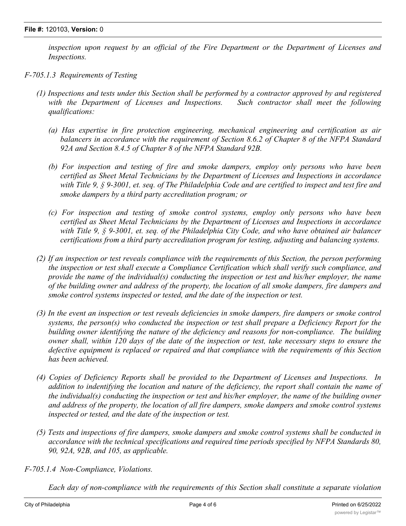*inspection upon request by an official of the Fire Department or the Department of Licenses and Inspections.*

- *F-705.1.3 Requirements of Testing*
	- (1) Inspections and tests under this Section shall be performed by a contractor approved by and registered *with the Department of Licenses and Inspections. Such contractor shall meet the following qualifications:*
		- *(a) Has expertise in fire protection engineering, mechanical engineering and certification as air balancers in accordance with the requirement of Section 8.6.2 of Chapter 8 of the NFPA Standard 92A and Section 8.4.5 of Chapter 8 of the NFPA Standard 92B.*
		- *(b) For inspection and testing of fire and smoke dampers, employ only persons who have been certified as Sheet Metal Technicians by the Department of Licenses and Inspections in accordance* with Title 9,  $\S$  9-3001, et. seq. of The Philadelphia Code and are certified to inspect and test fire and *smoke dampers by a third party accreditation program; or*
		- *(c) For inspection and testing of smoke control systems, employ only persons who have been certified as Sheet Metal Technicians by the Department of Licenses and Inspections in accordance with Title 9, § 9-3001, et. seq. of the Philadelphia City Code, and who have obtained air balancer certifications from a third party accreditation program for testing, adjusting and balancing systems.*
	- (2) If an inspection or test reveals compliance with the requirements of this Section, the person performing *the inspection or test shall execute a Compliance Certification which shall verify such compliance, and provide the name of the individual(s) conducting the inspection or test and his/her employer, the name* of the building owner and address of the property, the location of all smoke dampers, fire dampers and *smoke control systems inspected or tested, and the date of the inspection or test.*
	- (3) In the event an inspection or test reveals deficiencies in smoke dampers, fire dampers or smoke control *systems, the person(s) who conducted the inspection or test shall prepare a Deficiency Report for the building owner identifying the nature of the deficiency and reasons for non-compliance. The building* owner shall, within 120 days of the date of the inspection or test, take necessary steps to ensure the *defective equipment is replaced or repaired and that compliance with the requirements of this Section has been achieved.*
	- *(4) Copies of Deficiency Reports shall be provided to the Department of Licenses and Inspections. In addition to indentifying the location and nature of the deficiency, the report shall contain the name of the individual(s) conducting the inspection or test and his/her employer, the name of the building owner and address of the property, the location of all fire dampers, smoke dampers and smoke control systems inspected or tested, and the date of the inspection or test.*
	- *(5) Tests and inspections of fire dampers, smoke dampers and smoke control systems shall be conducted in accordance with the technical specifications and required time periods specified by NFPA Standards 80, 90, 92A, 92B, and 105, as applicable.*
- *F-705.1.4 Non-Compliance, Violations.*

*Each day of non-compliance with the requirements of this Section shall constitute a separate violation*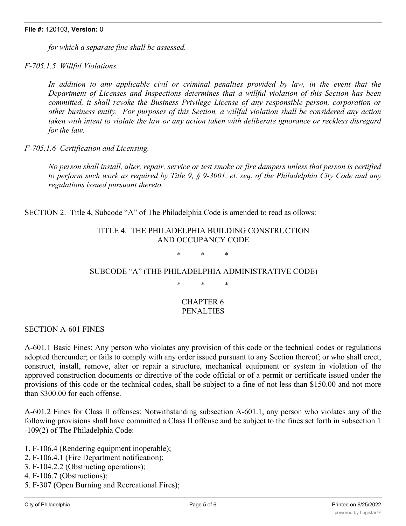*for which a separate fine shall be assessed.*

*F-705.1.5 Willful Violations.*

*In addition to any applicable civil or criminal penalties provided by law, in the event that the Department of Licenses and Inspections determines that a willful violation of this Section has been committed, it shall revoke the Business Privilege License of any responsible person, corporation or other business entity. For purposes of this Section, a willful violation shall be considered any action taken with intent to violate the law or any action taken with deliberate ignorance or reckless disregard for the law.*

*F-705.1.6 Certification and Licensing.*

No person shall install, alter, repair, service or test smoke or fire dampers unless that person is certified to perform such work as required by Title 9,  $\S$  9-3001, et. seq. of the Philadelphia City Code and any *regulations issued pursuant thereto.*

SECTION 2. Title 4, Subcode "A" of The Philadelphia Code is amended to read as ollows:

#### TITLE 4. THE PHILADELPHIA BUILDING CONSTRUCTION AND OCCUPANCY CODE

\* \* \*

### SUBCODE "A" (THE PHILADELPHIA ADMINISTRATIVE CODE)

\* \* \*

#### CHAPTER 6 PENALTIES

SECTION A-601 FINES

A-601.1 Basic Fines: Any person who violates any provision of this code or the technical codes or regulations adopted thereunder; or fails to comply with any order issued pursuant to any Section thereof; or who shall erect, construct, install, remove, alter or repair a structure, mechanical equipment or system in violation of the approved construction documents or directive of the code official or of a permit or certificate issued under the provisions of this code or the technical codes, shall be subject to a fine of not less than \$150.00 and not more than \$300.00 for each offense.

A-601.2 Fines for Class II offenses: Notwithstanding subsection A-601.1, any person who violates any of the following provisions shall have committed a Class II offense and be subject to the fines set forth in subsection 1 -109(2) of The Philadelphia Code:

1. F-106.4 (Rendering equipment inoperable);

- 2. F-106.4.1 (Fire Department notification);
- 3. F-104.2.2 (Obstructing operations);

4. F-106.7 (Obstructions);

5. F-307 (Open Burning and Recreational Fires);